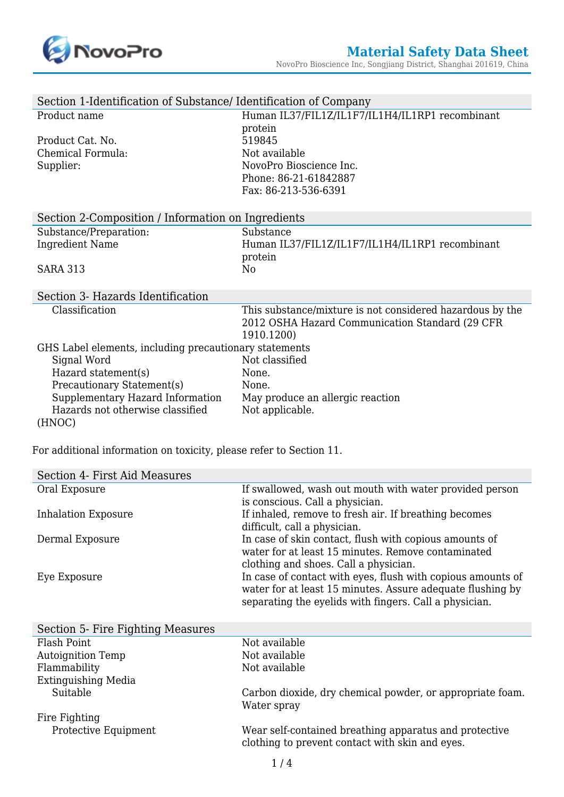

| Section 1-Identification of Substance/ Identification of Company |                                                           |
|------------------------------------------------------------------|-----------------------------------------------------------|
| Product name                                                     | Human IL37/FIL1Z/IL1F7/IL1H4/IL1RP1 recombinant           |
|                                                                  | protein                                                   |
| Product Cat. No.                                                 | 519845                                                    |
| Chemical Formula:                                                | Not available                                             |
| Supplier:                                                        | NovoPro Bioscience Inc.                                   |
|                                                                  | Phone: 86-21-61842887                                     |
|                                                                  | Fax: 86-213-536-6391                                      |
| Section 2-Composition / Information on Ingredients               |                                                           |
| Substance/Preparation:                                           | Substance                                                 |
| <b>Ingredient Name</b>                                           | Human IL37/FIL1Z/IL1F7/IL1H4/IL1RP1 recombinant           |
|                                                                  | protein                                                   |
| <b>SARA 313</b>                                                  | N <sub>0</sub>                                            |
|                                                                  |                                                           |
| Section 3- Hazards Identification                                |                                                           |
| Classification                                                   | This substance/mixture is not considered hazardous by the |
|                                                                  | 2012 OSHA Hazard Communication Standard (29 CFR           |
|                                                                  | 1910.1200)                                                |
| GHS Label elements, including precautionary statements           |                                                           |
| Signal Word                                                      | Not classified                                            |
| Hazard statement(s)                                              | None.                                                     |
| Precautionary Statement(s)                                       | None.                                                     |
| Supplementary Hazard Information                                 | May produce an allergic reaction                          |
| Hazards not otherwise classified                                 |                                                           |
|                                                                  | Not applicable.                                           |
| (HNOC)                                                           |                                                           |

For additional information on toxicity, please refer to Section 11.

| Section 4- First Aid Measures     |                                                             |
|-----------------------------------|-------------------------------------------------------------|
| Oral Exposure                     | If swallowed, wash out mouth with water provided person     |
|                                   | is conscious. Call a physician.                             |
| <b>Inhalation Exposure</b>        | If inhaled, remove to fresh air. If breathing becomes       |
|                                   | difficult, call a physician.                                |
| Dermal Exposure                   | In case of skin contact, flush with copious amounts of      |
|                                   | water for at least 15 minutes. Remove contaminated          |
|                                   | clothing and shoes. Call a physician.                       |
| Eye Exposure                      | In case of contact with eyes, flush with copious amounts of |
|                                   | water for at least 15 minutes. Assure adequate flushing by  |
|                                   | separating the eyelids with fingers. Call a physician.      |
|                                   |                                                             |
|                                   |                                                             |
| Section 5- Fire Fighting Measures |                                                             |
| Flash Point                       | Not available                                               |
| <b>Autoignition Temp</b>          | Not available                                               |
| Flammability                      | Not available                                               |
| Extinguishing Media               |                                                             |
| Suitable                          | Carbon dioxide, dry chemical powder, or appropriate foam.   |
|                                   | Water spray                                                 |
| Fire Fighting                     |                                                             |
| Protective Equipment              | Wear self-contained breathing apparatus and protective      |
|                                   | clothing to prevent contact with skin and eyes.             |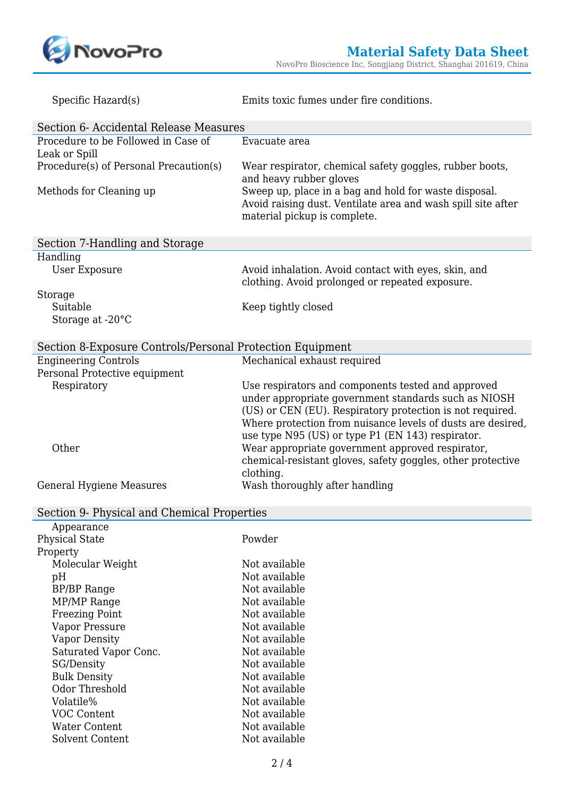

| Specific Hazard(s)                                        | Emits toxic fumes under fire conditions.                                                                                                                                                                                                                                                    |
|-----------------------------------------------------------|---------------------------------------------------------------------------------------------------------------------------------------------------------------------------------------------------------------------------------------------------------------------------------------------|
| Section 6- Accidental Release Measures                    |                                                                                                                                                                                                                                                                                             |
| Procedure to be Followed in Case of<br>Leak or Spill      | Evacuate area                                                                                                                                                                                                                                                                               |
| Procedure(s) of Personal Precaution(s)                    | Wear respirator, chemical safety goggles, rubber boots,<br>and heavy rubber gloves                                                                                                                                                                                                          |
| Methods for Cleaning up                                   | Sweep up, place in a bag and hold for waste disposal.<br>Avoid raising dust. Ventilate area and wash spill site after<br>material pickup is complete.                                                                                                                                       |
| Section 7-Handling and Storage                            |                                                                                                                                                                                                                                                                                             |
| Handling                                                  |                                                                                                                                                                                                                                                                                             |
| <b>User Exposure</b>                                      | Avoid inhalation. Avoid contact with eyes, skin, and<br>clothing. Avoid prolonged or repeated exposure.                                                                                                                                                                                     |
| Storage                                                   |                                                                                                                                                                                                                                                                                             |
| Suitable                                                  | Keep tightly closed                                                                                                                                                                                                                                                                         |
| Storage at -20°C                                          |                                                                                                                                                                                                                                                                                             |
| Section 8-Exposure Controls/Personal Protection Equipment |                                                                                                                                                                                                                                                                                             |
| <b>Engineering Controls</b>                               | Mechanical exhaust required                                                                                                                                                                                                                                                                 |
| Personal Protective equipment                             |                                                                                                                                                                                                                                                                                             |
| Respiratory                                               | Use respirators and components tested and approved<br>under appropriate government standards such as NIOSH<br>(US) or CEN (EU). Respiratory protection is not required.<br>Where protection from nuisance levels of dusts are desired,<br>use type N95 (US) or type P1 (EN 143) respirator. |
| Other                                                     | Wear appropriate government approved respirator,<br>chemical-resistant gloves, safety goggles, other protective<br>clothing.                                                                                                                                                                |
| <b>General Hygiene Measures</b>                           | Wash thoroughly after handling                                                                                                                                                                                                                                                              |
| Section 9- Physical and Chemical Properties               |                                                                                                                                                                                                                                                                                             |

| Appearance            |               |
|-----------------------|---------------|
| <b>Physical State</b> | Powder        |
| Property              |               |
| Molecular Weight      | Not available |
| pH                    | Not available |
| <b>BP/BP</b> Range    | Not available |
| MP/MP Range           | Not available |
| <b>Freezing Point</b> | Not available |
| Vapor Pressure        | Not available |
| Vapor Density         | Not available |
| Saturated Vapor Conc. | Not available |
| SG/Density            | Not available |
| <b>Bulk Density</b>   | Not available |
| Odor Threshold        | Not available |
| Volatile%             | Not available |
| VOC Content           | Not available |
| Water Content         | Not available |
| Solvent Content       | Not available |
|                       |               |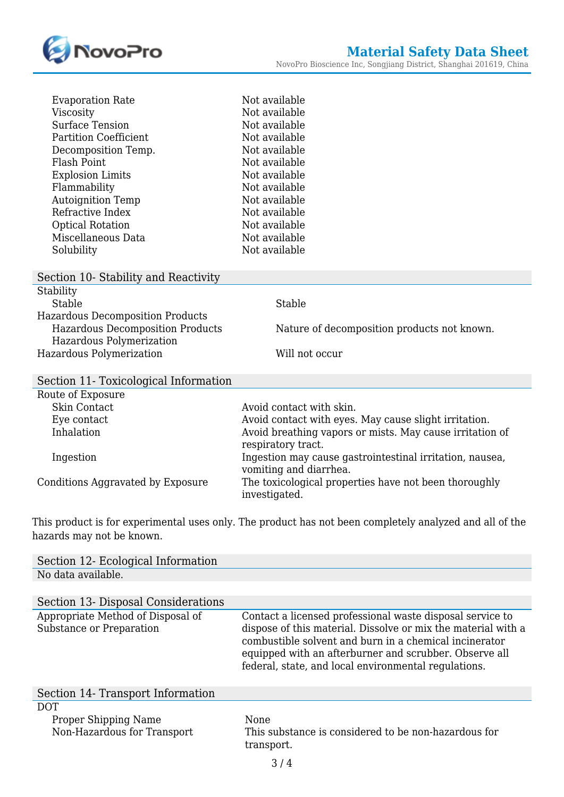

| Evaporation Rate             | Not available |
|------------------------------|---------------|
| Viscosity                    | Not available |
| Surface Tension              | Not available |
| <b>Partition Coefficient</b> | Not available |
| Decomposition Temp.          | Not available |
| Flash Point                  | Not available |
| <b>Explosion Limits</b>      | Not available |
| Flammability                 | Not available |
| <b>Autoignition Temp</b>     | Not available |
| Refractive Index             | Not available |
| <b>Optical Rotation</b>      | Not available |
| Miscellaneous Data           | Not available |
| Solubility                   | Not available |

| Section 10- Stability and Reactivity  |                                             |
|---------------------------------------|---------------------------------------------|
| Stability                             |                                             |
| Stable                                | Stable                                      |
| Hazardous Decomposition Products      |                                             |
| Hazardous Decomposition Products      | Nature of decomposition products not known. |
| Hazardous Polymerization              |                                             |
| Hazardous Polymerization              | Will not occur                              |
|                                       |                                             |
| Section 11- Toxicological Information |                                             |

| occuon 11 Toxicological miorination |                                                                                    |
|-------------------------------------|------------------------------------------------------------------------------------|
| Route of Exposure                   |                                                                                    |
| Skin Contact                        | Avoid contact with skin.                                                           |
| Eye contact                         | Avoid contact with eyes. May cause slight irritation.                              |
| Inhalation                          | Avoid breathing vapors or mists. May cause irritation of<br>respiratory tract.     |
| Ingestion                           | Ingestion may cause gastrointestinal irritation, nausea,<br>vomiting and diarrhea. |
| Conditions Aggravated by Exposure   | The toxicological properties have not been thoroughly<br>investigated.             |

This product is for experimental uses only. The product has not been completely analyzed and all of the hazards may not be known.

| Section 12- Ecological Information                            |                                                                                                                                                                                                                                                                                                        |
|---------------------------------------------------------------|--------------------------------------------------------------------------------------------------------------------------------------------------------------------------------------------------------------------------------------------------------------------------------------------------------|
| No data available.                                            |                                                                                                                                                                                                                                                                                                        |
|                                                               |                                                                                                                                                                                                                                                                                                        |
| Section 13- Disposal Considerations                           |                                                                                                                                                                                                                                                                                                        |
| Appropriate Method of Disposal of<br>Substance or Preparation | Contact a licensed professional waste disposal service to<br>dispose of this material. Dissolve or mix the material with a<br>combustible solvent and burn in a chemical incinerator<br>equipped with an afterburner and scrubber. Observe all<br>federal, state, and local environmental regulations. |
| Section 14- Transport Information                             |                                                                                                                                                                                                                                                                                                        |
| DOT                                                           |                                                                                                                                                                                                                                                                                                        |
| Proper Shipping Name<br>Non-Hazardous for Transport           | None<br>This substance is considered to be non-hazardous for<br>transport.                                                                                                                                                                                                                             |
|                                                               | 3/4                                                                                                                                                                                                                                                                                                    |